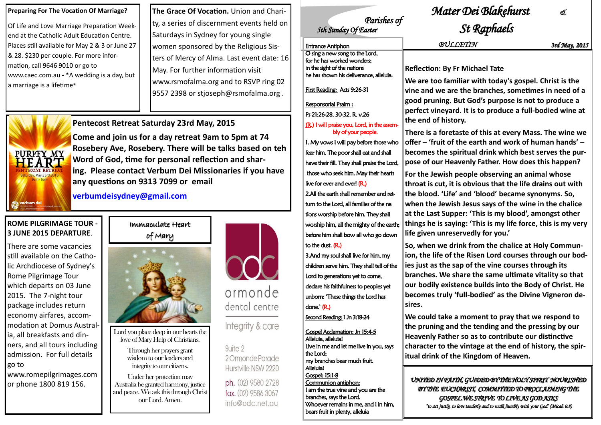### Immaculate Heart of Mary



Lord you place deep in our hearts the love of Mary Help of Christians.

> Through her prayers grant wisdom to our leaders and integrity to our citizens.

Under her protection may Australia be granted harmony, justice and peace. We ask this through Christ our Lord. Amen.



dental centre

Integrity & care

Suite 2 2 Ormonde Parade Hurstville NSW 2220

ph. (02) 9580 2728 fax. (02) 9586 3067 info@odc.net.au

# *Parishes of*<br>5th Sunday Of Easter

#### **Preparing For The Vocation Of Marriage?**

Of Life and Love Marriage Preparation Weekend at the Catholic Adult Education Centre. Places still available for May 2 & 3 or June 27 & 28. \$230 per couple. For more information, call 9646 9010 or go to www.caec.com.au - \*A wedding is a day, but a marriage is a lifetime\*

### **ROME PILGRIMAGE TOUR - 3 JUNE 2015 DEPARTURE**.

**The Grace Of Vocation.** Union and Charity, a series of discernment events held on Saturdays in Sydney for young single women sponsored by the Religious Sisters of Mercy of Alma. Last event date: 16 May. For further information visit www.rsmofalma.org and to RSVP ring 02 9557 2398 or stjoseph@rsmofalma.org.



There are some vacancies still available on the Catholic Archdiocese of Sydney's Rome Pilgrimage Tour which departs on 03 June 2015. The 7-night tour package includes return economy airfares, accommodation at Domus Australia, all breakfasts and dinners, and all tours including admission. For full details go to

www.romepilgrimages.com or phone 1800 819 156.

**Pentecost Retreat Saturday 23rd May, 2015**

**Come and join us for a day retreat 9am to 5pm at 74 Rosebery Ave, Rosebery. There will be talks based on teh Word of God, time for personal reflection and sharing. Please contact Verbum Dei Missionaries if you have any questions on 9313 7099 or email**

**[verbumdeisydney@gmail.com](mailto:verbumdeisydney@gmail.com)**

## *Mater Dei Blakehurst &*

# *St Raphaels*

**Reflection: By Fr Michael Tate**

**We are too familiar with today's gospel. Christ is the vine and we are the branches, sometimes in need of a good pruning. But God's purpose is not to produce a perfect vineyard. It is to produce a full-bodied wine at** 

**There is a foretaste of this at every Mass. The wine we offer – 'fruit of the earth and work of human hands' – becomes the spiritual drink which best serves the purpose of our Heavenly Father. How does this happen?** 

**For the Jewish people observing an animal whose throat is cut, it is obvious that the life drains out with the blood. 'Life' and 'blood' became synonyms. So, when the Jewish Jesus says of the wine in the chalice at the Last Supper: 'This is my blood', amongst other things he is saying: 'This is my life force, this is my very life given unreservedly for you.' So, when we drink from the chalice at Holy Communion, the life of the Risen Lord courses through our bodies just as the sap of the vine courses through its branches. We share the same ultimate vitality so that our bodily existence builds into the Body of Christ. He becomes truly 'full-bodied' as the Divine Vigneron de-**

**We could take a moment to pray that we respond to the pruning and the tending and the pressing by our Heavenly Father so as to contribute our distinctive character to the vintage at the end of history, the spiritual drink of the Kingdom of Heaven.**

*UNITED IN FAITH, GUIDED BY THE HOLY SPIRIT NOURISHED BY THE EUCHARIST, COMMITTED TO PROCLAIMING THE GOSPEL.WE STRIVE TO LIVE AS GOD ASKS "to act justly, to love tenderly and to walk humbly with your God' (Micah 6:8)* 

**the end of history. sires.** Entrance Antiphon *BULLETIN 3rd May, 2015* O sing a new song to the Lord, for he has worked wonders; in the sight of the nations he has shown his deliverance, alleluia. First Reading: Acts 9:26-31 Responsorial Psalm : Ps 21:26-28. 30-32. R. v.26 (R.) I will praise you, Lord, in the assembly of your people. 1. My vows I will pay before those who fear him. The poor shall eat and shall have their fill. They shall praise the Lord, those who seek him. May their hearts live for ever and ever! (R.) 2.All the earth shall remember and retturn to the Lord, all families of the na tions worship before him. They shall worship him, all the mighty of the earth; before him shall bow all who go down to the dust. (R.) 3.And my soul shall live for him, my children serve him. They shall tell of the Lord to generations yet to come, declare his faithfulness to peoples yet unborn: "These things the Lord has done.' (R.) Second Reading: 1 Jn 3:18-24 Gospel Acclamation: Jn 15:4-5 Alleluia, alleluia! Live in me and let me live in you, says the Lord; my branches bear much fruit. Alleluia! Gospel: 15:1-8 Communion antiphon: I am the true vine and you are the branches, says the Lord. Whoever remains in me, and I in him, bears fruit in plenty, alleluia